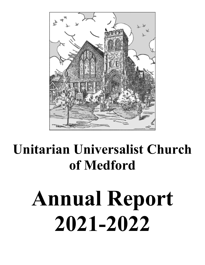

# **Unitarian Universalist Church of Medford**

# **Annual Report 2021-2022**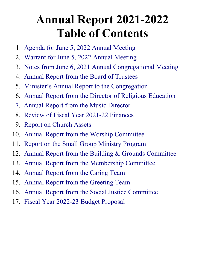## **Annual Report 2021-2022 Table of Contents**

- 1. [Agenda for June 5, 2022 Annual Meeting](#page-2-0)
- 2. [Warrant for June 5, 2022 Annual Meeting](#page-3-0)
- 3. [Notes from J](#page-4-0)une [6, 2021 Annual Congregational Meeting](#page-4-0)
- 4. [Annual Report from the Board of Trustees](#page-5-0)
- 5. [Minister's Annual Report to the Congregation](#page-7-0)
- 6. [Annual Report from the Director of Religious Education](#page-10-0)
- 7. [Annual Report from the Music Director](#page-11-0)
- 8. [Review of Fiscal Year 20](#page-12-0)2[1-](#page-12-0)22 [Finances](#page-12-0)
- 9. [Report on Church Assets](#page-15-0)
- 10. [Annual Report from the Worship Committee](#page-18-0)
- 11. [Report on the Small Group Ministry Program](#page-19-0)
- 12. [Annual Report from the Building & Grounds Committee](#page-20-0)
- 13. [Annual](#page-22-2) [Report](#page-22-2) [from the Membership Committee](#page-22-2)
- 14. [Annual Report from the Caring](#page-22-1) [Team](#page-22-1)
- 15. [Annual Report from the Greeting Team](#page-22-0)
- 16. [Annual Report from the Social Justice Committee](#page-23-0)
- 17. [Fiscal Year 2022-23 Budget Proposal](#page-25-0)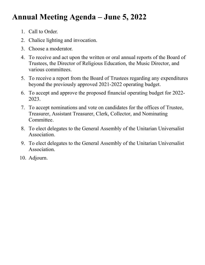## <span id="page-2-0"></span>**Annual Meeting Agenda – June 5, 2022**

- 1. Call to Order.
- 2. Chalice lighting and invocation.
- 3. Choose a moderator.
- 4. To receive and act upon the written or oral annual reports of the Board of Trustees, the Director of Religious Education, the Music Director, and various committees.
- 5. To receive a report from the Board of Trustees regarding any expenditures beyond the previously approved 2021-2022 operating budget.
- 6. To accept and approve the proposed financial operating budget for 2022- 2023.
- 7. To accept nominations and vote on candidates for the offices of Trustee, Treasurer, Assistant Treasurer, Clerk, Collector, and Nominating Committee.
- 8. To elect delegates to the General Assembly of the Unitarian Universalist Association.
- 9. To elect delegates to the General Assembly of the Unitarian Universalist Association.
- 10. Adjourn.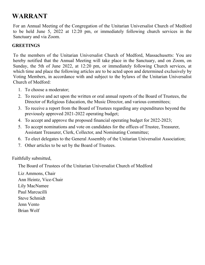## <span id="page-3-0"></span>**WARRANT**

For an Annual Meeting of the Congregation of the Unitarian Universalist Church of Medford to be held June 5, 2022 at 12:20 pm, or immediately following church services in the Sanctuary and via Zoom.

## **GREETINGS**

To the members of the Unitarian Universalist Church of Medford, Massachusetts: You are hereby notified that the Annual Meeting will take place in the Sanctuary, and on Zoom, on Sunday, the 5th of June 2022, at 12:20 pm, or immediately following Church services, at which time and place the following articles are to be acted upon and determined exclusively by Voting Members, in accordance with and subject to the bylaws of the Unitarian Universalist Church of Medford:

- 1. To choose a moderator;
- 2. To receive and act upon the written or oral annual reports of the Board of Trustees, the Director of Religious Education, the Music Director, and various committees;
- 3. To receive a report from the Board of Trustees regarding any expenditures beyond the previously approved 2021-2022 operating budget;
- 4. To accept and approve the proposed financial operating budget for 2022-2023;
- 5. To accept nominations and vote on candidates for the offices of Trustee, Treasurer, Assistant Treasurer, Clerk, Collector, and Nominating Committee;
- 6. To elect delegates to the General Assembly of the Unitarian Universalist Association;
- 7. Other articles to be set by the Board of Trustees.

Faithfully submitted,

The Board of Trustees of the Unitarian Universalist Church of Medford

Liz Ammons, Chair Ann Heintz, Vice-Chair Lily MacNamee Paul Marcucilli Steve Schmidt Jenn Vento Brian Wolf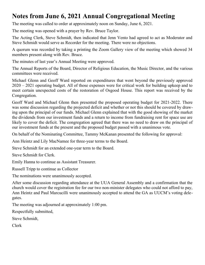## <span id="page-4-0"></span>**Notes from June 6, 2021 Annual Congregational Meeting**

The meeting was called to order at approximately noon on Sunday, June 6, 2021.

The meeting was opened with a prayer by Rev. Bruce Taylor.

The Acting Clerk, Steve Schmidt, then indicated that Jenn Vento had agreed to act as Moderator and Steve Schmidt would serve as Recorder for the meeting. There were no objections.

A quorum was recorded by taking a printing the Zoom Gallery view of the meeting which showed 34 members present along with Rev. Bruce.

The minutes of last year's Annual Meeting were approved.

The Annual Reports of the Board, Director of Religious Education, the Music Director, and the various committees were received.

Michael Glenn and Geoff Ward reported on expenditures that went beyond the previously approved 2020 – 2021 operating budget. All of those expenses were for critical work for building upkeep and to meet certain unexpected costs of the restoration of Osgood House. This report was received by the Congregation.

Geoff Ward and Michael Glenn then presented the proposed operating budget for 2021-2022. There was some discussion regarding the projected deficit and whether or not this should be covered by drawing upon the principal of our funds. Michael Glenn explained that with the good showing of the market the dividends from our investment funds and a return to income from fundraising rent for space use are likely to cover the deficit. The congregation agreed that there was no need to draw on the principal of our investment funds at the present and the proposed budget passed with a unanimous vote.

On behalf of the Nominating Committee, Tammy McKanan presented the following for approval:

Ann Heintz and Lily MacNamee for three-year terms to the Board.

Steve Schmidt for an extended one-year term to the Board.

Steve Schmidt for Clerk.

Emily Hanna to continue as Assistant Treasurer.

Russell Tripp to continue as Collector

The nominations were unanimously accepted.

After some discussion regarding attendance at the UUA General Assembly and a confirmation that the church would cover the registration fee for our two non-minister delegates who could not afford to pay, Ann Heintz and Paul Marcucilli were unanimously accepted to attend the GA as UUCM's voting delegates.

The meeting was adjourned at approximately 1:00 pm.

Respectfully submitted,

Steve Schmidt,

Clerk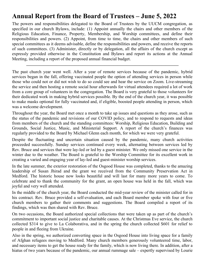## <span id="page-5-0"></span>**Annual Report from the Board of Trustees – June 5, 2022**

The powers and responsibilities delegated to the Board of Trustees by the UUCM congregation, as specified in our church Bylaws, include: (1) Appoint annually the chairs and other members of the Religious Education, Finance, Property, Membership, and Worship committees, and define their responsibilities and powers. (2) Appoint, from time to time, the chairs and other members of such special committees as it deems advisable, define the responsibilities and powers, and receive the reports of such committees. (3) Administer, directly or by delegation, all the affairs of the church except as expressly provided otherwise in the Constitution and Bylaws and report its actions at the Annual Meeting, including a report of the proposed annual financial budget.

**———————————————————————————————————**

The past church year went well. After a year of remote services because of the pandemic, hybrid services began in the fall, offering vaccinated people the option of attending services in person while those who could not or did not wish to do so could see and hear the service on Zoom. Live-streaming the service and then hosting a remote social hour afterwards for virtual attendees required a lot of work from a core group of volunteers in the congregation. The Board is very grateful to those volunteers for their dedicated work in making hybrid services possible. By the end of the church year, it was possible to make masks optional for fully vaccinated and, if eligible, boosted people attending in person, which was a welcome development.

Throughout the year, the Board met once a month to take up issues and questions as they arose, such as the status of the pandemic and revisions of our COVID policy, and to respond to requests and ideas from members of the church and the standing committees: Worship, Religious Education, Building and Grounds, Social Justice, Music, and Ministerial Support. A report of the church's finances was regularly provided to the Board by Michael Glenn each month, for which we were very grateful.

Despite the fluctuating and uncertain situation caused by the pandemic, many church activities proceeded successfully. Sunday services continued every week, alternating between services led by Rev. Bruce and services that were lay-led or led by a guest minister. We only missed one service in the winter due to the weather. The Board is grateful to the Worship Committee for its excellent work in creating a varied and engaging year of lay-led and guest-minister worship services.

In the late summer, the exterior restoration of the Osgood House was completed, thanks to the amazing leadership of Susan Jhirad and the grant we received from the Community Preservation Act in Medford. The historic house now looks beautiful and will last for many more years to come. To celebrate and to thank the community for the grant, an open house was held in the fall, which was joyful and very well attended.

In the middle of the church year, the Board conducted the mid-year review of the minister called for in his contract. Rev. Bruce provided a self-evaluation, and each Board member spoke with four or five church members to gather their comments and suggestions. The Board compiled a report of its findings, which was then shared with Rev. Bruce.

On two occasions, the Board authorized special collections that were taken up as part of the church's commitment to important social justice and charitable causes. At the Christmas Eve service, the church collected \$314 to give to La Colaborativa, and in the spring the church collected \$601 for relief to people in and fleeing from Ukraine.

Also in the spring, we authorized converting space in the Osgood House into living space for a family of Afghan refugees moving to Medford. Many church members generously volunteered time, labor, and necessary items to get the house ready for the family, which is now living there. In addition, after a hiatus of two years because of the pandemic, our annual rummage sale – expertly supervised by Lourie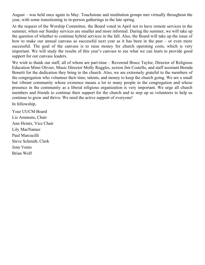August – was held once again in May. Touchstone and meditation groups met virtually throughout the year, with some transitioning to in-person gatherings in the late spring.

At the request of the Worship Committee, the Board voted in April not to have remote services in the summer, when our Sunday services are smaller and more informal. During the summer, we will take up the question of whether to continue hybrid services in the fall. Also, the Board will take up the issue of how to make our annual canvass as successful next year as it has been in the past – or even more successful. The goal of the canvass is to raise money for church operating costs, which is very important. We will study the results of this year's canvass to see what we can learn to provide good support for our canvass leaders.

We wish to thank our staff, all of whom are part-time – Reverend Bruce Taylor, Director of Religious Education Mimi Olivier, Music Director Molly Ruggles, sexton Jim Costello, and staff assistant Brenda Bonetti for the dedication they bring to the church. Also, we are extremely grateful to the members of the congregation who volunteer their time, talents, and money to keep the church going. We are a small but vibrant community whose existence means a lot to many people in the congregation and whose presence in the community as a liberal religious organization is very important. We urge all church members and friends to continue their support for the church and to step up as volunteers to help us continue to grow and thrive. We need the active support of everyone!

In fellowship,

Your UUCM Board Liz Ammons, Chair Ann Heintz, Vice Chair Lily MacNamee Paul Marcucilli Steve Schmidt, Clerk Jenn Vento Brian Wolf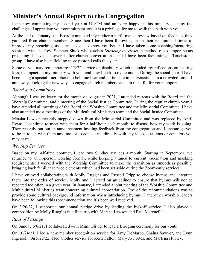## <span id="page-7-0"></span>**Minister's Annual Report to the Congregation**

I am now completing my second year at UUCM and am very happy in this ministry. I enjoy the challenges, I appreciate your commitment, and it is a privilege for me to walk this path with you.

At the end of January, the Board completed my midterm performance review based on feedback they gathered from church members. Since then I have been following up on their recommendations: to improve my preaching style, and to get to know you better. I have taken some coaching/mentoring sessions with the Rev. Stephen Shick who teaches *Speaking by Heart,* a method of extemporaneous preaching. I have led several after-church conversations, and I have been facilitating a Touchstone group. I have also been fielding more pastoral calls this year.

Some of you may remember my 4/3/22 service on disability which included my reflections on hearing loss, its impact on my ministry with you, and how I seek to overcome it. During the social hour, I have been using a special microphone to help me hear and participate in conversations in a crowded room. I am always looking for new ways to engage church members, and am thankful for your support.

#### *Board and Committees*

Although I was on leave for the month of August in 2021, I attended retreats with the Board and the Worship Committee, and a meeting of the Social Justice Committee. During the regular church year, I have attended all meetings of the Board, the Worship Committee and my Ministerial Committee. I have also attended most meetings of the Multicultural Ministries team and the Social Justice Committee.

Marsha Lawson recently stepped down from the Ministerial Committee and was replaced by April Evans. I continue to meet with them for a half-hour each month, to discuss how my work is going. They recently put out an announcement inviting feedback from the congregation and I encourage you to be in touch with them anytime, or to contact me directly with any ideas, questions or concerns you may have.

#### *Worship Services*

Based on my half-time contract, I lead two Sunday services a month. Starting in September, we returned to an in-person worship format, while keeping attuned to current vaccination and masking requirements. I worked with the Worship Committee to make the transition as smooth as possible, bringing back familiar service elements which had been set aside during the Zoom-only services.

I have enjoyed collaborating with Molly Ruggles and Russell Tripp to choose hymns and integrate them into the order of service. Molly and I agreed on guidelines to ensure that hymns will not be repeated too often in a given year. In January, I attended a joint meeting of the Worship Committee and Multicultural Ministries team concerning cultural appropriation. One of the recommendations was to provide some cultural background information when introducing hymns. I and other worship leaders have been following this recommendation and it's been well received.

On 3/20/22, I supported our annual pledge drive by leading the kickoff service. I also played a composition by Molly Ruggles in a flute trio with Marsha Lawson and Paul Marcucilli.

#### *Rites of Passage*

On Sunday 6/6/21, I collaborated with Mimi Olivier to lead a Bridging ceremony for our youth.

On 10/24/21, I led a new member recognition service for Amy DeMarco, Shaina Sawyer, and Lynn Ingersoll. On 5/22/22, I led another service for Kerri Fallon, Mary Jo Fortes, and Marlena Hubley.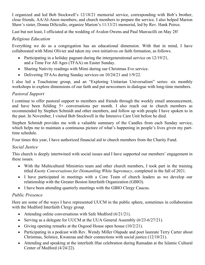I organized and led Bob Stockwell's 12/18/21 memorial service, corresponding with Bob's brother, close friends, AA/Al-Anon members, and church members to prepare the service. I also helped Marion Shaw's sister, Donna DiSciullo, organize Marion's 11/13/21 memorial, led by Rev. Hank Peirce.

Last but not least, I officiated at the wedding of Avalon Owens and Paul Marcucilli on May 28!

## *Religious Education*

Everything we do as a congregation has an educational dimension. With that in mind, I have collaborated with Mimi Olivier and taken my own initiatives on faith formation, as follows.

- Participating in a holiday pageant during the intergenerational service on 12/19/21, and a Time For All Ages (TFAA) on Easter Sunday.
- Sharing Nativity readings with Mimi during our Christmas Eve service.
- Delivering TFAAs during Sunday services on 10/24/21 and 1/9/22.

I also led a Touchstone group, and an "Exploring Unitarian Universalism" series: six monthly workshops to explore dimensions of our faith and put newcomers in dialogue with long-time members.

## *Pastoral Support*

I continue to offer pastoral support to members and friends through the weekly email announcement, and have been fielding 5+ conversations per month. I also reach out to church members as recommended by Stephen Schmidt and other members, and follow up with people I have spoken to in the past. In November, I visited Bob Stockwell in the Intensive Care Unit before he died.

Stephen Schmidt provides me with a valuable summary of the Candles from each Sunday service, which helps me to maintain a continuous picture of what's happening in people's lives given my parttime schedule.

Four times this year, I have authorized financial aid to church members from the Charity Fund.

## *Social Justice*

This church is deeply intertwined with social issues and I have supported our members' engagement in these issues.

- With the Multicultural Ministries team and other church members, I took part in the training titled *Knotty Conversations for Dismantling White Supremacy*, completed in the fall of 2021.
- I have participated in meetings with a Core Team of church leaders as we develop our relationship with the Greater Boston Interfaith Organization (GBIO).
- I have been attending quarterly meetings with the GBIO Clergy Caucus.

## *Public Presence*

Here are some of the ways I have represented UUCM in the public sphere, sometimes in collaboration with the Medford Interfaith Clergy group.

- Attending online conversations with Safe Medford (6/21/21).
- Serving as a delegate for UUCM at the UUA General Assembly (6/23-6/27/21).
- Giving opening remarks at the Osgood House open house  $(10/2/21)$ .
- Participating in a podcast with Rev. Wendy Miller Olapade and poet laureate Terry Carter about Christmas, Solstice, Kwanzaa and their connections with social justice (12/10/21).
- Attending and speaking at the interfaith Iftar celebration during Ramadan at the Islamic Cultural Center of Medford (4/24/22).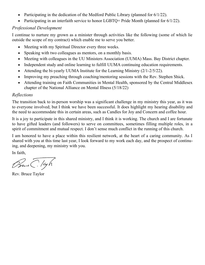- Participating in the dedication of the Medford Public Library (planned for  $6/1/22$ ).
- Participating in an interfaith service to honor LGBTQ+ Pride Month (planned for 6/1/22).

#### *Professional Development*

I continue to nurture my grown as a minister through activities like the following (some of which lie outside the scope of my contract) which enable me to serve you better.

- Meeting with my Spiritual Director every three weeks.
- Speaking with two colleagues as mentors, on a monthly basis.
- Meeting with colleagues in the UU Ministers Association (UUMA) Mass. Bay District chapter.
- Independent study and online learning to fulfill UUMA continuing education requirements.
- Attending the bi-yearly UUMA Institute for the Learning Ministry (2/1-2/5/22).
- Improving my preaching through coaching/mentoring sessions with the Rev. Stephen Shick.
- Attending training on Faith Communities in Mental Health, sponsored by the Central Middlesex chapter of the National Alliance on Mental Illness (5/18/22)

#### *Reflections*

The transition back to in-person worship was a significant challenge in my ministry this year, as it was to everyone involved; but I think we have been successful. It does highlight my hearing disability and the need to accommodate this in certain areas, such as Candles for Joy and Concern and coffee hour.

It is a joy to participate in this shared ministry, and I think it is working. The church and I are fortunate to have gifted leaders (and followers) to serve on committees, sometimes filling multiple roles, in a spirit of commitment and mutual respect. I don't sense much conflict in the running of this church.

I am honored to have a place within this resilient network, at the heart of a caring community. As I shared with you at this time last year, I look forward to my work each day, and the prospect of continuing, and deepening, my ministry with you.

In faith,

Bure C. leyh

Rev. Bruce Taylor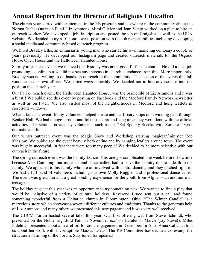## <span id="page-10-0"></span>**Annual Report from the Director of Religious Education**

The church year started with excitement in the RE program and elsewhere in the community about the Norma Richie Outreach Fund. Liz Ammons, Mimi Olivier and Jenn Vento worked on a plan to hire an outreach worker. We developed a job description and posted the job on Craigslist as well as the UUA website. We decided to try a 10 hour a week position with the job responsibilities including developing a social media and community based outreach program.

We hired Bradley Ellis, an enthusiastic young man who started his own marketing company a couple of years previously. He developed our Instagram page and created outreach materials for the Osgood House Open House and the Halloween Haunted House.

Shortly after these events we realized that Bradley was not a good fit for the church. He did a nice job promoting us online but we did not see any increase in church attendance from this. More importantly, Bradley was not willing to do hands-on outreach in the community. The success of the events this fall was due to our own efforts. We parted ways amicably. We decided not to hire anyone else into the position this church year.

Our Fall outreach event, the Halloween Haunted House, was the brainchild of Liz Ammons and it was a blast!! We publicized this event by posting on Facebook and the Medford Family Network newsletter as well as on Patch. We also visited most of the neighborhoods in Medford and hung leaflets in storefront windows.

What a fantastic event! Many volunteers helped create and staff scary stops on a winding path through Benker Hall. We had a huge turnout and folks stuck around long after they were done with the official activities. The stations created by volunteers, such as the "Eat Spooky Snacks with Zombies" were dramatic and fun.

Our winter outreach event was the Magic Show and Workshop starring magician/minister Rob Kinslow. We publicized the event heavily both online and by hanging leaflets around town. The event was hugely successful, in fact there were too many people! We decided to be more selective with our outreach in the future.

The spring outreach event was the Family Dance. This one got complicated one week before showtime because Alex Cumming, our musician and dance caller, had to leave the country due to a death in the family. We appealed to his family who are all involved with contra-dancing and they pitched right in. We had a full band of volunteers including our own Molly Ruggles and a professional dance caller! The event was great fun and a great bonding experience for the youth from Afghanistan and our own teenagers.

The holiday pageant this year was an opportunity to try something new. We wanted to find a play that would be inclusive of a variety of cultural holidays. Reverend Bruce sent out a call and found something wonderful from a Unitarian church in Bloomington, Ohio. "The Winter Candle" is a marvelous story which showcases several different cultures and traditions. Thanks to the generous help of Liz Ammons and many others we presented this new pageant and it was very well received.

The UUCM Forum hosted several talks this year. Our first offering was from Steve Schmidt, who presented on the Noble Eightfold Path in November *and* on Hamlet in March (yay Steve!). Miles Fidelman presented about a new effort for civic engagement in December. In April Anna Callahan told us about her work with Incorruptible Massachusetts. The RE Committee has decided to revamp the structure and timing of the Forum. Stay tuned for updates!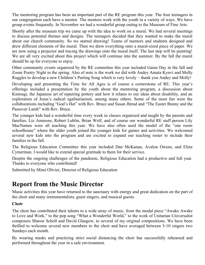The mentoring program has been an important part of the RE program this year. The four teenagers in our congregation each have a mentor. The mentors work with the youth in a variety of ways. We have group events frequently. In November we had a wonderful group outing to the Museum of Fine Arts.

Shortly after the museum trip we came up with the idea to work on a mural. We had several meetings to discuss potential themes and designs. The teenagers decided that they wanted to make the mural about our church community. So we started drawing! Teams of mentors and students designed and drew different elements of the mural. Then we drew everything onto a mural-sized piece of paper. We are now using a projector and tracing the drawings onto the mural itself. The last step will be painting! We are all very excited about this project which will continue into the summer. By the fall the mural should be up for everyone to enjoy.

Other community events organized by the RE committee this year included Game Day in the fall and Zoom Poetry Night in the spring. Also of note is the work we did with Andey Amata Kynvi and Molly Ruggles to develop a new Children's Parting Song which is very lovely – thank you Andey and Molly!

Developing and presenting the Time for All Ages is of course a cornerstone of RE. This year's offerings included a presentation by the youth about the mentoring program, a discussion about Kintsugi, the Japanese art of repairing pottery and how it relates to our ideas about disability, and an exploration of Jesus's radical egalitarianism, among many others. Some of the most fun were the collaborations including "God's Hat" with Rev. Bruce and Susan Jhirad and "The Easter Bunny and the Passover Lamb" with Rev. Bruce.

The younger kids had a wonderful time every week in classes organized and taught by the parents and families. Liz Ammons, Robert Lublin, Brian Wolf, and of course our wonderful RE staff person Lily MacNamee were all teaching this year. We have also often used the model of the "one room schoolhouse" where the older youth joined the younger kids for games and activities. We welcomed several new kids into the program and are excited to expand our teaching roster to include their families in the fall.

The Religious Education Committee this year included Dan McKanan, Avalon Owens, and Elina Cymerman. I would like to extend special gratitude to them for their service.

Despite the ongoing challenges of the pandemic, Religious Education had a productive and full year. Thanks to everyone who contributed!

Submitted by Mimi Olivier, Director of Religious Education

## <span id="page-11-0"></span>**Report from the Music Director**

Music activities this year have returned to the sanctuary with energy and great dedication on the part of the choir and many instrumentalists, guest singers, and musical guests.

## **Choir**

The choir has contributed their talents to a wide array of music, from the modal piece "Awake Awake to Love and Work," to the pop song "What a Wonderful World," to the work of Unitarian Universalist composers Sharon Scholl and David Glasgow, to several of my original compositions. We have been thrilled to welcome several new members to the choir and have averaged between 5-10 singers two Sundays each month.

By wearing masks and practicing strict social distancing the choir has successfully rehearsed and performed throughout the year in a safe environment.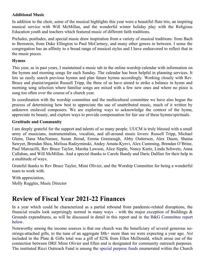#### **Additional Music**

In addition to the choir, some of the musical highlights this year were a beautiful flute trio, an inspiring musical service with Will McMillan, and the wonderful winter holiday play with the Religious Education youth and teachers which featured music of different faith traditions.

Preludes, postludes, and special music draw inspiration from a variety of musical traditions: from Bach to Bernstein, from Duke Ellington to Paul McCartney, and many other genres in between. I sense the congregation has an affinity to a broad range of musical styles and I have endeavored to reflect that in the music pieces.

#### **Hymns**

This year, as in past years, I maintained a music tab in the online worship calendar with information on the hymns and morning songs for each Sunday. The calendar has been helpful in planning services. It lets us easily search previous hymns and plan future hymns accordingly. Working closely with Rev. Bruce and pianist/organist Russell Tripp, the three of us have aimed to strike a balance in hymn and morning song selection where familiar songs are mixed with a few new ones and where no piece is sung too often over the course of a church year.

In coordination with the worship committee and the multicultural committee we have also begun the process of determining how best to appreciate the use of unattributed music, much of it written by unknown enslaved composers. We are exploring ways to acknowledge the context of the hymn, appreciate its beauty, and explore ways to provide compensation for fair use of these hymns/spirituals.

#### **Gratitude and Community**

I am deeply grateful for the support and talents of so many people. UUCM is truly blessed with a small army of musicians, instrumentalists, vocalists, and all-around music lovers: Russell Tripp, Michael Glenn, Dana MacNamee, Susan Jhirad, Emma Greenough, Abby Outterson, Alex Daum, Shaina Sawyer, Brendan Shea, Melissa Radzyminski, Andey Amata-Kynvi, Alex Cumming, Brendan O'Brine, Paul Marcucilli, Rev Bruce Taylor, Marsha Lawson, Alice Sipple, Nancy Kurtz, Linda Schwetz, Anna Callahan, and Will McMillan. And a special thanks to Carole Bundy and Daric Dalfino for their help in a multitude of ways.

Grateful thanks to Rev Bruce Taylor, Mimi Olivier, and the Worship Committee for being a wonderful team to work with.

With appreciation, Molly Ruggles, Music Director

## <span id="page-12-0"></span>**Review of Fiscal Year 2021-22 Finances**

In a year which could be characterized as a partial rebound from pandemic-related disruptions, the financial results look surprisingly normal in many ways – with the major exception of Buildings  $\&$ Grounds expenditures, as will be discussed in detail in this report and in [the B&G Committee report](#page-20-0) [below.](#page-20-0)

Noteworthy among the income sources is that our church was the beneficiary of several generous nostrings-attached gifts, to the tune of an aggregate \$8k+ more than we were expecting a year ago. *Not* included in the Plate & Gifts total was a gift of \$25k from Ellen McDonald, which arose out of the connection between DRE Mimi Olivier and Ellen and is designated for community outreach purposes. The instituted Ricci Outreach Fund is among the [special purpose funds](#page-16-0) enumerated within the Church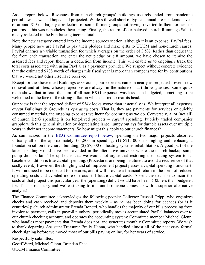Assets report below. Revenues from non-church groups' buildings use rebounded from pandemic period lows as we had hoped and projected. While still well short of typical annual pre-pandemic levels of around \$15k – largely a reflection of some former groups not having reverted to their former use patterns – this was nonetheless heartening. Finally, the return of our beloved church Rummage Sale is nicely reflected in the Fundraising income total.

Note the new category entered into the income sources section, although it is an expense: PayPal fees. Many people now use PayPal to pay their pledges and make gifts to UUCM and non-church causes. PayPal charges a variable transaction fee which averages on the order of 3.5%. Rather than deduct the fee from each transaction and enter the net pledge or gift amount, we have chosen to itemize the assessed fees and report them as a deduction from income. This will enable us to ongoingly track the total costs associated with using PayPal as a payments provider. We suspect without concrete evidence that the estimated \$788 worth of charges this fiscal year is more than compensated for by contributions that we would not otherwise have received.

Except for the above cited Buildings & Grounds, our expenses came in nearly as projected – even snow removal and utilities, whose projections are always in the nature of dart-throw guesses. Some quick math shows that in total the sum of all non-B&G expenses was less than budgeted, something to be welcomed in the face of the strong inflation which started to rear its head.

Our view is that the reported deficit of \$34k looks worse than it actually is. We interpret all expenses *except* Buildings & Grounds as *operating* costs. That is, they are payments for services or quickly consumed materials, the ongoing expenses we incur for operating as we do. Conversely, a lot (not all) of church B&G spending is on long-lived projects – *capital* spending. Publicly traded companies grapple with this general situation by depreciating large, lumpy outlays for durable assets over multiple years in their net income statements. So how might this apply to our church finances?

As summarized in the [B&G Committee report below](#page-20-0), spending on two major projects absorbed virtually all of the approximately \$31,800 in spending: (1) \$21,100 on shingling and replacing a foundation sill on the church building; (2) \$7,000 on heating systems rehabilitation. A good part of the latter spending would have been avoided in the alternative universe where the church backup sump pump did not fail. The upshot is that we would not argue that restoring the heating system to its baseline condition is true capital spending. (Procedures are being instituted to avoid a recurrence of that costly event.) However, the shingling and sill replacement project passes a capital spending litmus test: It will not need to be repeated for decades, and it will provide a financial return in the form of reduced operating costs and avoided more-onerous-still future capital costs. Absent the decision to incur the costs of that project this particular year the (operating) deficit would have been \$10k less than budgeted for. That is our story and we're sticking to it – until someone comes up with a superior alternative analysis!

The Finance Committee acknowledges the following people: Collector Russell Tripp, who organizes checks and cash received and deposits them weekly – as he has been doing for decades (or is it centuries?); church administrator Brenda Bonetti, who handles the majority of our bills processing from invoice to payment, calls in payroll numbers, periodically moves accumulated PayPal balances over to our church checking account, and operates the accounting system; Committee member Michael Glenn, who handles most payments that Brenda does not, and generates monthly Committee reports. We wish to thank departing Assistant Treasurer Emily Hanna, who handled almost all of the necessary formal check signing before we moved most of our bills paying online, for her years of service.

Respectfully submitted, Geoff Ward, Michael Glenn, Brendan Shea UUCM Finance Committee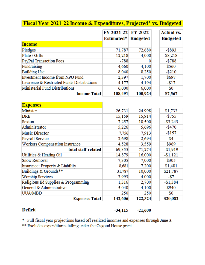| <b>Fiscal Year 2021-22 Income &amp; Expenditures, Projected* vs. Budgeted</b> |            |                 |                   |  |  |
|-------------------------------------------------------------------------------|------------|-----------------|-------------------|--|--|
|                                                                               | FY 2021-22 | FY 2022         | <b>Actual vs.</b> |  |  |
|                                                                               | Estimated* | <b>Budgeted</b> | <b>Budgeted</b>   |  |  |
| <b>Income</b>                                                                 |            |                 |                   |  |  |
| Pledges                                                                       | 71,787     | 72,680          | $-$ \$893         |  |  |
| Plate / Gifts                                                                 | 12,218     | 4,000           | \$8,218           |  |  |
| PayPal Transaction Fees                                                       | $-788$     | O               | $-$ \$788         |  |  |
| Fundraising                                                                   | 4,660      | 4,100           | \$560             |  |  |
| <b>Building Use</b>                                                           | 8,040      | 8,250           | $-$210$           |  |  |
| <b>Investment Income from NPO Fund</b>                                        | 2,397      | 1,700           | \$697             |  |  |
| Lawrence & Restricted Funds Distributions                                     | 4,177      | 4,194           | -\$17             |  |  |
| Ministerial Fund Distributions                                                | 6,000      | 6,000           | \$0               |  |  |
| <b>Income Total</b>                                                           | 108,491    | 100,924         | \$7,567           |  |  |
|                                                                               |            |                 |                   |  |  |
| <b>Expenses</b>                                                               |            |                 |                   |  |  |
| Minister                                                                      | 26,731     | 24,998          | \$1,733           |  |  |
| <b>DRE</b>                                                                    | 15,159     | 15,914          | $-$ \$755         |  |  |
| Sexton                                                                        | 7,257      | 10,500          | $-$ \$3,243       |  |  |
| Administrator                                                                 | 5,226      | 5,696           | $-$ \$470         |  |  |
| Music Director                                                                | 7,756      | 7,913           | -\$157            |  |  |
| Payroll Service                                                               | 2,698      | 2,694           | \$4               |  |  |
| Workers Compensation Insurance                                                | 4,528      | 3,559           | \$969             |  |  |
| total staff-related                                                           | 69,355     | 71,274          | -\$1,919          |  |  |
| Utilities & Heating Oil                                                       | 14,879     | 16,000          | $-$1,121$         |  |  |
| <b>Snow Removal</b>                                                           | 7,305      | 7,000           | \$305             |  |  |
| Insurance: Property & Liability                                               | 8,681      | 7,200           | \$1,481           |  |  |
| Buildings & Grounds**                                                         | 31,787     | 10,000          | \$21,787          |  |  |
| <b>Worship Services</b>                                                       | 3,993      | 4,000           | -\$7              |  |  |
| Religious Ed Supplies & Programming                                           | 1,316      | 2,700           | $-$1,384$         |  |  |
| General & Administrative                                                      | 5,040      | 4,100           | \$940             |  |  |
| UUA/MBD                                                                       | 250        | 250             | \$0               |  |  |
| <b>Expenses Total</b>                                                         | 142,606    | 122,524         | \$20,082          |  |  |

## **Deficit**

#### $-34,115$  $-21,600$

\* Full fiscal year projections based off realized incomes and expenses through June 3.<br>\*\* Excludes expenditures falling under the Osgood House grant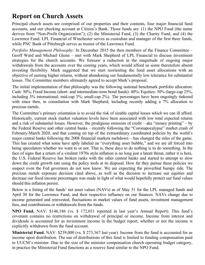## <span id="page-15-0"></span>**Report on Church Assets**

Principal church assets are comprised of our properties and their contents, four major financial fund accounts, and our checking account at Citizen's Bank. Those funds are: (1) the NPO Fund (the name derives from "Non-Profit Organization"); (2) the Ministerial Fund, (3) the Charity Fund, and (4) the Lawrence Fund. LPL Financial of Winchester serves as custodian and manager of the first three funds, while PNC Bank of Pittsburgh serves as trustee of the Lawrence Fund.

*Portfolio Management Philosophy:* In December 2015 the then members of the Finance Committee – Geoff Ward and Michael Glenn – met with Mark Shepherd of LPL Financial to discuss investment strategies for the church accounts. We foresaw a reduction in the magnitude of ongoing major withdrawals from the accounts over the coming years, which would afford us some theretofore absent investing flexibility. Mark suggested that we start reorienting the fund asset allocations with an objective of earning higher returns, without abandoning our fundamentally low tolerance for substantial losses. The Committee members ultimately agreed to accept Mark's proposal.

The initial implementation of that philosophy was the following notional benchmark portfolio allocation: Cash: 30%; Fixed Income (short- and intermediate-term bond funds): 40%; Equities: 30% (large-cap 25%, including 3% international; mid-cap 3%; small-cap 2%). The percentages have been ongoingly tinkered with since then, in consultation with Mark Shepherd, including recently adding a 7% allocation to precious metals.

The Committee's primary orientation is to avoid the risk of sizable capital losses which we can ill afford. Historically, current stock market valuation levels have been associated with low total expected returns and a risk of substantial losses. However, the prodigious emission of credit – aka "money printing" – by the Federal Reserve and other central banks – recently following the "Coronapocalypse" market crash of February-March 2020, and that coming on top of the extraordinary coordinated policies by the world's major central banks following the 2008 financial markets meltdown – has changed the rules of the game. This has created what some have aptly labeled an "everything asset bubble," and we are all forced into being speculators whether we want to or not. That is, these days to do nothing is to do something. In the face of signs that a return of a virulent 1970s style inflation is no long just a latent threat, rather it is here, the U.S. Federal Reserve has broken ranks with the other central banks and started to attempt to slow down the credit growth rate using the policy tools at its disposal. How far they pursue these policies we suspect even the Fed governors do not now know. We are expecting the proverbial bumpy ride. The precious metals exposure decision cited above, as well as the decision to increase our equities and decrease our fixed income percentages was made in light of what would hopefully protect our fund values should this inflation persist.

Below is a listing of the funds' net asset values (NAVs) as of May 31 for the LPL managed funds and April 30 for the Lawrence Fund, and their respective influence on our finances. NAVs change due to income generated and reinvested, fluctuations in market values of fund assets, investment management fees, and contributions or withdrawals from the funds.

**NPO Fund.** NAV: \$146,186 (vs. \$ 172,031 reported in last year's Annual Report). This fund's covenant contains no restrictions on withdrawal of principal or income. Income from interest and dividends is accounted for as investment income in the budget report, whether or not the income is explicitly withdrawn from the fund account.

**Ministerial Fund.** NAV: \$239,000 (vs. \$ 273,367 last year). Income from the fund is accounted for as income upon distribution. The use of distributions of this fund is limited to funding compensation paid to UUCM's minister. Due to the size of the minister compensation church operating budget category, in practice the Ministerial Fund functions as a reserve fund similar to the NPO Fund.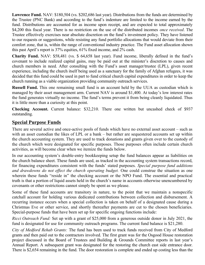**Lawrence Fund.** NAV: \$180,504 (vs. \$202,686 last year). Distributions from the funds are determined by the Trustee (PNC Bank) and according to the fund's indenture are limited to the income earned by the fund. Distributions are accounted for as income upon receipt, and are expected to total approximately \$4,200 this fiscal year. There is no restriction on the use of the distributed incomes *once received*. The Trustee effectively exercises near absolute discretion on the fund's investment policy. They have listened to our requests or suggestions, while resisting any fund portfolio allocations that would deviate from their comfort zone, that is, within the range of conventional industry practice. The Fund asset allocation shown this past April's report is 37% equities, 61% fixed income, and 2% cash.

**Charity Fund.** NAV: \$58,481 (vs. \$ 64,658 last year). Fund income, liberally defined in the fund's covenant to include realized capital gains, may be paid out at the minister's discretion to causes and church members in need. After consulting with the Fund's asset manager/trustee (LPL), given recent experience, including the church itself being used as a sanctuary for the family of Afghan refugees, it was decided that this fund could be used in part to fund critical church capital expenditures in order to keep the church running as a viable organization providing community outreach services.

**Russell Fund.** This one remaining small fund is an account held by the UUA as custodian which is managed by their asset management arm. Current NAV is around \$1,400. At today's low interest rates the fund generates virtually no income. The fund's terms prevent it from being cleanly liquidated. Thus it is little more than a curiosity at this point.

**Checking Account.** Current balance: \$32,210. There one written but uncashed check of \$937 outstanding.

## <span id="page-16-0"></span>**Special Purpose Funds**

There are several active and once-active pools of funds which have no external asset account – such as with an asset custodian the likes of LPL or a bank – but rather are sequestered accounts set up within the church accounting system. They are used to track donations and grants given over to the custody of the church which were designated for specific purposes. Those purposes often include certain church activities, as will become clear when we itemize the funds below.

In our accounting system's double-entry bookkeeping setup the fund balances appear as liabilities on the church balance sheet. These funds are used, as tracked in the accounting system transactions record, for financing expenditures consistent with the funds' stated purposes. *Special purpose fund additions and drawdowns do not effect the church operating budget.* One could construe the situation as one wherein these funds "reside in" the checking account or the NPO Fund. The essential and practical truth is that a portion of liquid assets held in the church's name in accounts otherwise unencumbered by covenants or other restrictions cannot simply be spent as we please.

Some of these fund accounts are transitory in nature, to the point that we maintain a nonspecific catchall account for holding various dedicated contributions between collection and disbursement. A recurring instance occurs when a special collection is taken on behalf of a designated cause during a Christmas Eve or other service, and shortly thereafter payments are cut to the chosen beneficiaries. Special-purpose funds that have been set up for specific ongoing functions include:

*Ricci Outreach Fund:* Set up with a grant of \$25,000 from a generous outside donor in July 2021, the fund is designated for use for community outreach programs. The current fund balance is \$21,280.

*City of Medford Rehab Grants:* The fund has been used to track funds received from City of Medford grants and then paid out to the contractors involved. The first grant was for the Osgood House restoration project discussed in the Board of Trustees and Building & Grounds Committee reports in last year's Annual Report. A subsequent grant was designated for the restoring the church east side entrance door. There is \$2,654 remaining in the fund. The door restoration is complete and ended up costing less than the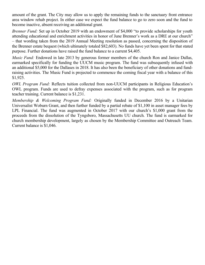amount of the grant. The City may allow us to apply the remaining funds to the sanctuary front entrance area window rehab project. In either case we expect the fund balance to go to zero soon and the fund to become inactive, absent receiving an additional grant.

*Brenner Fund:* Set up in October 2019 with an endowment of \$4,000 "to provide scholarships for youth attending educational and enrichment activities in honor of June Brenner's work as a DRE at our church" – that wording taken from the 2019 Annual Meeting resolution as passed, concerning the disposition of the Brenner estate bequest (which ultimately totaled \$82,603). No funds have yet been spent for that stated purpose. Further donations have raised the fund balance to a current \$4,405.

*Music Fund:* Endowed in late 2013 by generous former members of the church Ron and Janice Dallas, earmarked specifically for funding the UUCM music program. The fund was subsequently infused with an additional \$5,000 for the Dallases in 2018. It has also been the beneficiary of other donations and fundraising activities. The Music Fund is projected to commence the coming fiscal year with a balance of this \$1,925.

*OWL Program Fund:* Reflects tuition collected from non-UUCM participants in Religious Education's OWL program. Funds are used to defray expenses associated with the program, such as for program teacher training. Current balance is \$1,231.

*Membership & Welcoming Program Fund:* Originally funded in December 2016 by a Unitarian Universalist Woburn Grant, and then further funded by a partial rebate of \$1,100 in asset manager fees by LPL Financial. The fund was augmented in October 2017 with our church's \$1,000 grant from the proceeds from the dissolution of the Tyngsboro, Massachusetts UU church. The fund is earmarked for church membership development, largely as chosen by the Membership Committee and Outreach Team. Current balance is \$1,046.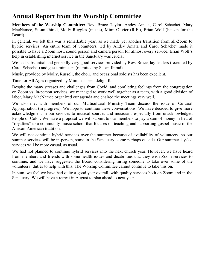## <span id="page-18-0"></span>**Annual Report from the Worship Committee**

**Members of the Worship Committee:** Rev. Bruce Taylor, Andey Amata, Carol Schachet, Mary MacNamee, Susan Jhirad, Molly Ruggles (music), Mimi Olivier (R.E.), Brian Wolf (liaison for the Board)

In general, we felt this was a remarkable year, as we made yet another transition from all-Zoom to hybrid services. An entire team of volunteers, led by Andey Amata and Carol Schachet made it possible to have a Zoom host, sound person and camera person for almost every service. Brian Wolf's help in establishing internet service in the Sanctuary was crucial.

We had substantial and generally very good services provided by Rev. Bruce, lay leaders (recruited by Carol Schachet) and guest ministers (recruited by Susan Jhirad).

Music, provided by Molly, Russell, the choir, and occasional soloists has been excellent.

Time for All Ages organized by Mimi has been delightful.

Despite the many stresses and challenges from Covid, and conflicting feelings from the congregation on Zoom vs. in-person services, we managed to work well together as a team, with a good division of labor. Mary MacNamee organized our agenda and chaired the meetings very well.

We also met with members of our Multicultural Ministry Team discuss the issue of Cultural Appropriation (in progress). We hope to continue these conversations. We have decided to give more acknowledgment in our services to musical sources and musicians especially from unacknowledged People of Color. We have a proposal we will submit to our members to pay a sum of money in lieu of "royalties" to a community music school that focuses on teaching and supporting gospel music of the African-American tradition.

We will not continue hybrid services over the summer because of availability of volunteers, so our summer services will be in-person, some in the Sanctuary, some perhaps outside. Our summer lay-led services will be more casual, as usual.

We had not planned to continue hybrid services into the next church year. However, we have heard from members and friends with some health issues and disabilities that they wish Zoom services to continue, and we have suggested the Board considering hiring someone to take over some of the volunteers' duties to help with this. The Worship Committee cannot continue to take this on.

In sum, we feel we have had quite a good year overall, with quality services both on Zoom and in the Sanctuary. We will have a retreat in August to plan ahead to next year.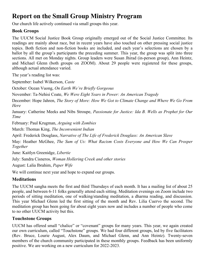## <span id="page-19-0"></span>**Report on the Small Group Ministry Program**

Our church life actively continued via small groups this year.

## **Book Groups**

The UUCM Social Justice Book Group originally emerged out of the Social Justice Committee. Its readings are mainly about race, but in recent years have also touched on other pressing social justice topics. Both fiction and non-fiction books are included, and each year's selections are chosen by a ballot by all the group's participants the preceding summer. This year, the group was split into three sections. All met on Monday nights. Group leaders were Susan Jhirad (in-person group), Ann Heintz, and Michael Glenn (both groups on ZOOM). About 29 people were registered for these groups, although actual attendance varied.

The year's reading list was:

September: Isabel Wilkerson, *Caste*

October: Ocean Vuong, *On Earth We're Briefly Gorgeous*

November: Ta-Nehisi Coate, *We Were Eight Years in Power: An American Tragedy*

December: Hope Jahren, *The Story of More: How We Got to Climate Change and Where We Go From Here*

January: Catherine Meeks and Nibs Stroupe, *Passionate for Justice: Ida B. Wells as Prophet for Our Time*

February: Paul Krugman, *Arguing with Zombies*

March: Thomas King, *The Inconvenient Indian*

April: Frederick Douglass, *Narrative of The Life of Frederick Douglass: An American Slave*

May: Heather McGhee, *The Sum of Us: What Racism Costs Everyone and How We Can Prosper Together*

June: Kaitlyn Greenidge, *Libertie*

July: Sandra Cisneros, *Woman Hollering Creek and other stories*

August: Lalia Ibrahim, *Paper Wife*

We will continue next year and hope to expand our groups.

## **Meditations**

The UUCM sangha meets the first and third Thursdays of each month. It has a mailing list of about 25 people, and between 6-11 folks generally attend each sitting. Meditation evenings on Zoom include two periods of sitting meditation, one of walking/standing meditation, a dharma reading, and discussion. This year Michael Glenn led the first sitting of the month and Rev. Lilia Cuervo the second. The meditation group has been going for about eight years now and includes a number of people who come to no other UUCM activity but this.

## **Touchstone Groups**

UUCM has offered small "chalice" or "covenant" groups for many years. This year, we again created our own curriculum, called "Touchstone" groups. We had four different groups, led by five facilitators (Rev. Bruce, Lourie August, Alex Daum, and Michael Glenn, and Ann Heintz). Twenty-seven members of the church community participated in these monthly groups. Feedback has been uniformly positive. We are working on a new curriculum for 2022-2023.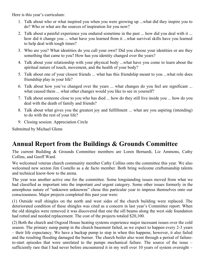Here is this year's curriculum:

- 1. Talk about who or what inspired you when you were growing up ...what did they inspire you to do? Who or what are the sources of inspiration for you now?
- 2. Talk about a painful experience you endured sometime in the past ... how did you deal with it ... how did it change you ... what have you learned from it ...what survival skills have you learned to help deal with tough times?
- 3. Who are you? What identities do you call your own? Did you choose your identities or are they something that came to you? How has you identity changed over the years?
- 4. Talk about your relationship with your physical body ...what have you come to learn about the spiritual nature of touch, movement, and the health of your body?
- 5. Talk about one of your closest friends ... what has this friendship meant to you ...what role does friendship play in your life?
- 6. Talk about how you've changed over the years ... what changes do you feel are significant ... what caused them ... what other changes would you like to see in yourself?
- 7. Talk about someone close to you who has died ... how do they still live inside you ... how do you deal with the death of family and friends?
- 8. Talk about what gives you the greatest joy and fulfillment ... what are you aspiring (intending) to do with the rest of your life?
- 9. Closing session: Appreciation Circle

Submitted by Michael Glenn

## <span id="page-20-0"></span>**Annual Report from the Buildings & Grounds Committee**

The current Building & Grounds Committee members are Loren Bernardi, Liz Ammons, Cathy Collins, and Geoff Ward.

We welcomed veteran church community member Cathy Collins onto the committee this year. We also welcomed new sexton Jim Costello as a de facto member. Both bring welcome craftsmanship talents and technical know-how to the arena.

The year was another active one for the committee. Some longstanding issues moved from what we had classified as important into the important *and* urgent category. Some other issues formerly in the amorphous nature of "unknown unknowns" chose this particular year to impress themselves onto our consciousness. Major projects completed this past year were:

(1) Outside wall shingles on the north and west sides of the church building were replaced. The deteriorated condition of these shingles was cited as a concern in last year's Committee report. When the old shingles were removed it was discovered that one the sill beams along the west side foundation had rotted and needed replacement. The cost of the projects totaled \$20,100.

(2) Both the church and Osgood House heating systems experience major incessant issues over the cold season. The primary sump pump in the church basement failed, as we expect to happen every 2-3 years – their life expectancy. We have a backup pump to step in when this happens; however, it also failed and the resulting flooding damaged the burner. The church boiler also went through a period of failureto-start episodes that were unrelated to the pumps mechanical failure. The source of the issue – sufficiently rare that I had never before encountered it in my well over 10 years of system oversight –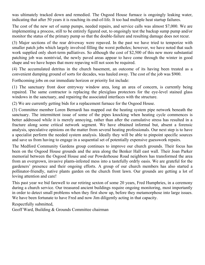was ultimately tracked down and remedied. The Osgood House furnace is ongoingly leaking water, indicating that after 50 years it is reaching its end-of-life. It too had multiple heat startup failures.

The cost of the new set of sump pumps, needed repairs, and service calls was almost \$7,000. We are implementing a process, still to be entirely figured out, to ongoingly test the backup sump pump and/or monitor the status of the primary pump so that the double-failure and resulting damage does not recur.

(3) Major sections of the rear driveway were repaved. In the past we have tried to temporize with smaller patch jobs which largely involved filling the worst potholes; however, we have noted that such work supplied only short-term palliatives. So although the cost of \$2,500 of this new more substantial patching job was nontrivial, the newly paved areas appear to have come through the winter in good shape and we have hopes that more repaving will not soon be required.

(4) The accumulated detritus in the church basement, an outcome of its having been treated as a convenient dumping ground of sorts for decades, was hauled away. The cost of the job was \$900.

Forthcoming jobs on our immediate horizon or priority list include:

(1) The sanctuary front door entryway window area, long an area of concern, is currently being repaired. The same contractor is replacing the plexiglass protectors for the eye-level stained glass windows in the sanctuary, and repairing the associated interfaces with the structure.

(2) We are currently getting bids for a replacement furnace for the Osgood House.

(3) Committee member Loren Bernardi has mapped out the heating system pipe network beneath the sanctuary. The intermittent issue of some of the pipes knocking when heating cycle commences is better addressed while it is merely annoying, rather than after the cumulative stress has resulted in a fracture along some critical network segment. We have obtained informal but, absent a forensic analysis, speculative opinions on the matter from several heating professionals. Our next step is to have a specialist perform the needed system analysis. Ideally they will be able to pinpoint specific sources and save us from having to engage in a sequential set of potentially expensive guesswork repairs.

The Medford Community Gardens group continues to improve our church grounds. Their focus has been on the Osgood House grounds and the area along the Benker Hall east wall. Their Joan Parker memorial between the Osgood House and our Powderhouse Road neighbors has transformed the area from an overgrown, invasive plants-infested mess into a tastefully ordrly oasis. We are grateful for the gardeners' presence and their ongoing efforts. A group of our church members has also started a pollinator-friendly, native plants garden on the church front lawn. Our grounds are getting a lot of loving attention and care!

This past year we bid farewell to our retiring sexton of some 20 years, Fred Humphries, in a ceremony during a church service. Our treasured ancient buildings require ongoing monitoring, most importantly in order to detect small problems when they first show up, before they metamorphose into large issues. We have been fortunate to have Fred and now Jim diligently acting in that capacity.

Respectfully submitted,

Geoff Ward, Building & Grounds Committee chairman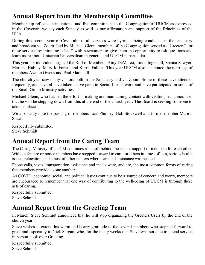## <span id="page-22-2"></span>**Annual Report from the Membership Committee**

Membership reflects an intentional and free commitment to the Congregation of UUCM as expressed in the Covenant we say each Sunday as well as our affirmation and support of the Principles of the UUA.

During this second year of Covid almost all services were hybrid – being conducted in the sanctuary and broadcast via Zoom. Led by Michael Glenn, members of the Congregation served as "Greeters" for these services by initiating "chats" with newcomers to give them the opportunity to ask questions and learn more about Unitarian Universalism in general and UUCM in particular.

This year six individuals signed the Roll of Members: Amy DeMarco, Linda Ingersoll, Shaina Sawyer, Marlena Hubley, Mary Jo Fortes, and Kerrie Fallon. This year UUCM also celebrated the marriage of members Avalon Owens and Paul Marcucilli.

The church year saw many visitors both in the Sanctuary and via Zoom. Some of these have attended frequently, and several have taken active parts in Social Justice work and have participated in some of the Small Group Ministry activities.

Michael Glenn, who has led the effort in making and maintaining contact with visitors, has announced that he will be stepping down from this at the end of the church year. The Board is seeking someone to take his place.

We also sadly note the passing of members Lois Phinney, Bob Stockwell and former member Marion Shaw.

Respectfully submitted, Steve Schmidt

## <span id="page-22-1"></span>**Annual Report from the Caring Team**

The Caring Ministry of UUCM continues as an oft behind the scenes support of members for each other. Without fanfare or notice members have stepped forward to care for others in times of loss, serious health issues, relocation, and a host of other matters where care and assistance was needed.

Phone calls, visits, transportation assistance and meals were, and are, the most common forms of caring that members provide to one another.

As COVID, economic, social, and political issues continue to be a source of concern and worry, members are encouraged to remember that one way of contributing to the well-being of UUCM is through these acts of caring.

Respectfully submitted, Steve Schmidt

## <span id="page-22-0"></span>**Annual Report from the Greeting Team**

In March, Steve Schmidt announced that he will stop organizing the Greeters/Users by the end of the church year.

Steve wishes to extend his warm and hearty gratitude to the several members who stepped forward to greet and especially to Nick Sargant who, for the many weeks that Steve was not able to attend service in person, took over Greeting.

Respectfully submitted, Steve Schmidt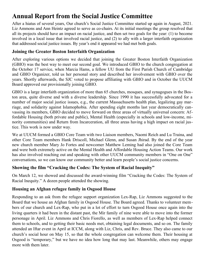## <span id="page-23-0"></span>**Annual Report from the Social Justice Committee**

After a hiatus of several years, Our church's Social Justice Committee started up again in August, 2021. Liz Ammons and Ann Heintz agreed to serve as co-chairs. At its initial meetings the group resolved that all its projects should have an impact on racial justice, and then set two goals for the year: (1) to become involved in a local issue that involved racial justice, and (2) to ally with a larger interfaith organization that addressed social justice issues. By year's end it appeared we had met both goals.

#### **Joining the Greater Boston Interfaith Organization**

After exploring various options we decided that joining the Greater Boston Interfaith Organization (GBIO) was the best way to meet our second goal. We introduced GBIO to the church congregation at the October 17 service, when Marcia Hams, a fellow UU from the First Parish Church of Cambridge and GBIO Organizer, told us her personal story and described her involvement with GBIO over the years. Shortly afterwards, the SJC voted to propose affiliating with GBIO and in October the UUCM Board approved our provisionally joining GBIO.

GBIO is a large interfaith organization of more than 65 churches, mosques, and synagogues in the Boston area, quite diverse and with a diverse leadership. Since 1990 it has successfully advocated for a number of major social justice issues, e.g., the current Massachusetts health plan, legalizing gay marriage, and solidarity against Islamophobia. After spending eight months last year democratically canvassing its members, GBIO decided to move forward on three areas of virtually universal concern: Affordable Housing (both private and public), Mental Health (especially in schools and low-income, minority communities) and Return from Incarceration, all three areas having a high impact on racial justice. This work is now under way.

We at UUCM formed a GBIO Core Team with two Liaison members, Naomi Reich and Lu Traina, and other Core Team members Hank Driscoll, Michael Glenn, and Susan Jhirad. By the end of the year new church member Mary Jo Fortes and newcomer Matthew Leming had also joined the Core Team and were both extremely active on the Mental Health and Affordable Housing Action Teams. Our work has also involved reaching out and speaking with other UUCM community members in "One on One" conversations, so we can know our community better and learn people's social justice concerns.

## **Showing the film "Cracking the Codes: The System of Racial Inequity"**

On March 12, we showed and discussed the award-winning film "Cracking the Codes: The System of Racial Inequity." A dozen people attended the showing.

## **Housing an Afghan refugee family in Osgood House**

Responding to an ask from the refugee support organization Lex-Rap, Liz Ammons suggested to the Board that we house an Afghan family in Osgood House. The Board agreed. Thanks to volunteer members of our church and Lex-Rap, who put in a lot of effort to turn Osgood House once again into the living quarters it had been in the distant past, the Mir family of nine were able to move into the former personage in April. Liz Ammons and Chris Fiorello, as well as members of Lex-Rap helped connect them to schools, and to getting their basic needs met, obtaining legal documents, and so on. The family attended an Iftar event in April at ICCM, along with Liz, Chris, and Rev. Bruce. They also came to our church's social hour on May 15, so that the whole congregation can welcome them. Their housing at Osgood is "temporary," but we have no idea how long that may last. Meanwhile, others may engage more with them later.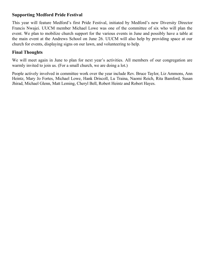#### **Supporting Medford Pride Festival**

This year will feature Medford's first Pride Festival, initiated by Medford's new Diversity Director Francis Nwajei. UUCM member Michael Lowe was one of the committee of six who will plan the event. We plan to mobilize church support for the various events in June and possibly have a table at the main event at the Andrews School on June 26. UUCM will also help by providing space at our church for events, displaying signs on our lawn, and volunteering to help.

#### **Final Thoughts**

We will meet again in June to plan for next year's activities. All members of our congregation are warmly invited to join us. (For a small church, we are doing a lot.)

People actively involved in committee work over the year include Rev. Bruce Taylor, Liz Ammons, Ann Heintz, Mary Jo Fortes, Michael Lowe, Hank Driscoll, Lu Traina, Naomi Reich, Rita Bamford, Susan Jhirad, Michael Glenn, Matt Leming, Cheryl Bell, Robert Heintz and Robert Hayes.